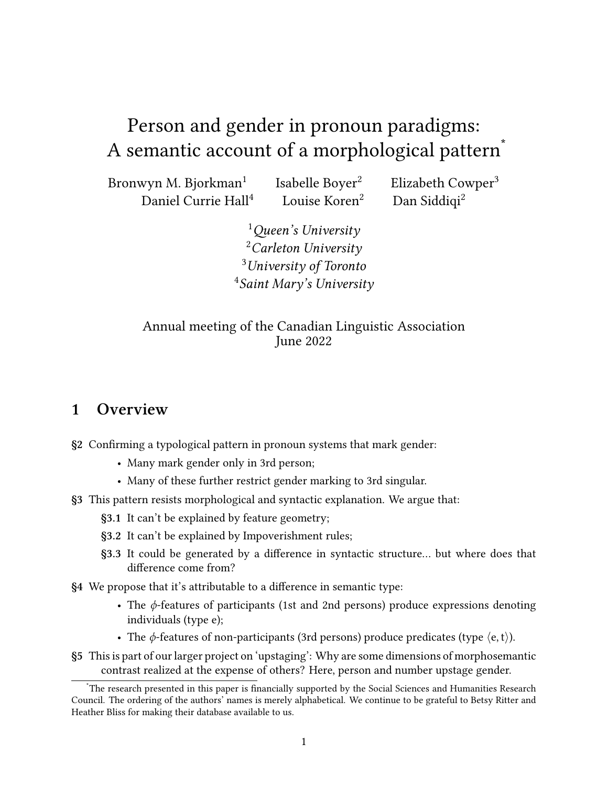# Person and gender in pronoun paradigms: A semantic account of a morphological pattern<sup>\*</sup>

Bronwyn M. Bjorkman<sup>1</sup> Isabelle Boyer<sup>2</sup> Elizabeth Cowper<sup>3</sup> Daniel Currie Hall<sup>4</sup> Louise Koren<sup>2</sup> Dan Siddiqi<sup>2</sup>

> *Queen's University Carleton University University of Toronto Saint Mary's University*

Annual meeting of the Canadian Linguistic Association June 2022

#### **1 Overview**

**§[2](#page-1-0)** Confirming a typological pattern in pronoun systems that mark gender:

- Many mark gender only in 3rd person;
- Many of these further restrict gender marking to 3rd singular.
- **§[3](#page-3-0)** This pattern resists morphological and syntactic explanation. We argue that:
	- **[§3.1](#page-4-0)** It can't be explained by feature geometry;
	- **[§3.2](#page-5-0)** It can't be explained by Impoverishment rules;
	- **[§3.3](#page-6-0)** It could be generated by a difference in syntactic structure… but where does that difference come from?
- **§[4](#page-6-1)** We propose that it's attributable to a difference in semantic type:
	- The *ϕ*-features of participants (1st and 2nd persons) produce expressions denoting individuals (type e);
	- The *ϕ*-features of non-participants (3rd persons) produce predicates (type *⟨*e, t*⟩*).
- **§[5](#page-10-0)** This is part of our larger project on 'upstaging': Why are some dimensions of morphosemantic contrast realized at the expense of others? Here, person and number upstage gender.

The research presented in this paper is financially supported by the Social Sciences and Humanities Research Council. The ordering of the authors' names is merely alphabetical. We continue to be grateful to Betsy Ritter and Heather Bliss for making their database available to us.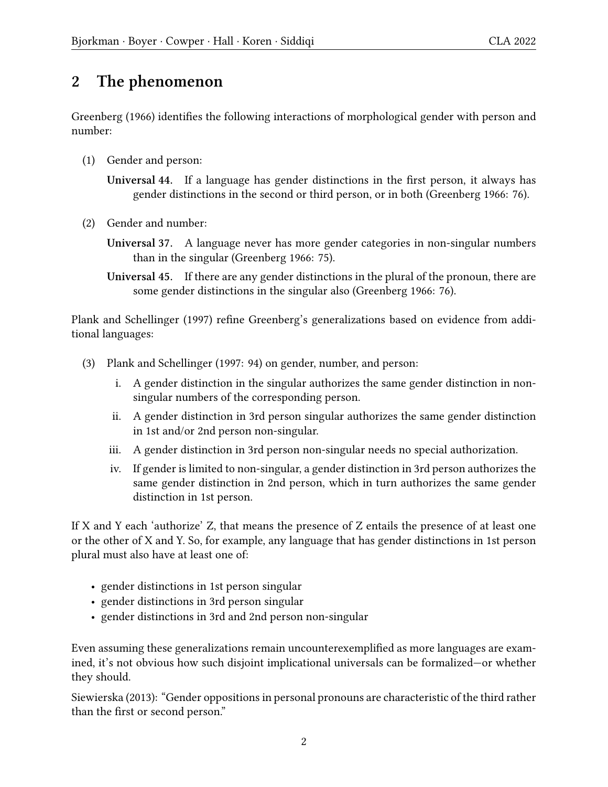### <span id="page-1-0"></span>**2 The phenomenon**

[Greenberg](#page-14-0) [\(1966](#page-14-0)) identifies the following interactions of morphological gender with person and number:

(1) Gender and person:

**Universal 44.** If a language has gender distinctions in the first person, it always has gender distinctions in the second or third person, or in both([Greenberg](#page-14-0) [1966](#page-14-0): 76).

- (2) Gender and number:
	- **Universal 37.** A language never has more gender categories in non-singular numbers than in the singular([Greenberg](#page-14-0) [1966:](#page-14-0) 75).
	- **Universal 45.** If there are any gender distinctions in the plural of the pronoun, there are some gender distinctions in the singular also([Greenberg](#page-14-0) [1966:](#page-14-0) 76).

[Plank and Schellinger](#page-14-1) [\(1997](#page-14-1)) refine [Greenberg](#page-14-0)'s generalizations based on evidence from additional languages:

- (3) [Plank and Schellinger](#page-14-1) ([1997:](#page-14-1) 94) on gender, number, and person:
	- i. A gender distinction in the singular authorizes the same gender distinction in nonsingular numbers of the corresponding person.
	- ii. A gender distinction in 3rd person singular authorizes the same gender distinction in 1st and/or 2nd person non-singular.
	- iii. A gender distinction in 3rd person non-singular needs no special authorization.
	- iv. If gender is limited to non-singular, a gender distinction in 3rd person authorizes the same gender distinction in 2nd person, which in turn authorizes the same gender distinction in 1st person.

If X and Y each 'authorize' Z, that means the presence of Z entails the presence of at least one or the other of X and Y. So, for example, any language that has gender distinctions in 1st person plural must also have at least one of:

- gender distinctions in 1st person singular
- gender distinctions in 3rd person singular
- gender distinctions in 3rd and 2nd person non-singular

Even assuming these generalizations remain uncounterexemplified as more languages are examined, it's not obvious how such disjoint implicational universals can be formalized—or whether they should.

[Siewierska](#page-14-2) [\(2013\)](#page-14-2): "Gender oppositions in personal pronouns are characteristic of the third rather than the first or second person."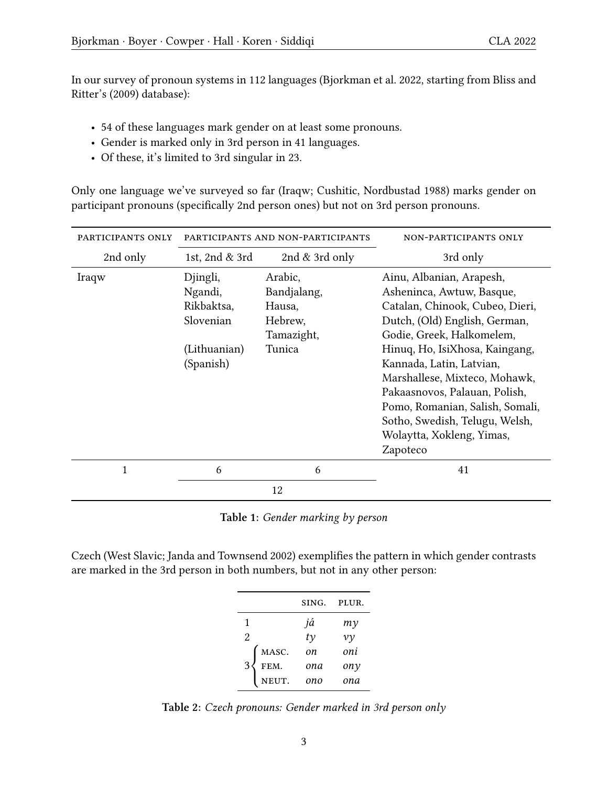In our survey of pronoun systems in 112 languages [\(Bjorkman et al.](#page-13-0) [2022](#page-13-0), starting from [Bliss and](#page-13-1) [Ritter'](#page-13-1)s [\(2009](#page-13-1)) database):

- 54 of these languages mark gender on at least some pronouns.
- Gender is marked only in 3rd person in 41 languages.
- Of these, it's limited to 3rd singular in 23.

Only one language we've surveyed so far (Iraqw; Cushitic, [Nordbustad](#page-14-3) [1988](#page-14-3)) marks gender on participant pronouns (specifically 2nd person ones) but not on 3rd person pronouns.

<span id="page-2-0"></span>

| PARTICIPANTS ONLY | PARTICIPANTS AND NON-PARTICIPANTS                                           |                                                                     | NON-PARTICIPANTS ONLY                                                                                                                                                                                                                                                                                                                                                                                |
|-------------------|-----------------------------------------------------------------------------|---------------------------------------------------------------------|------------------------------------------------------------------------------------------------------------------------------------------------------------------------------------------------------------------------------------------------------------------------------------------------------------------------------------------------------------------------------------------------------|
| 2nd only          | 1st, 2nd & 3rd                                                              | 2nd $&$ 3rd only                                                    | 3rd only                                                                                                                                                                                                                                                                                                                                                                                             |
| Iraqw             | Djingli,<br>Ngandi,<br>Rikbaktsa,<br>Slovenian<br>(Lithuanian)<br>(Spanish) | Arabic,<br>Bandjalang,<br>Hausa,<br>Hebrew,<br>Tamazight,<br>Tunica | Ainu, Albanian, Arapesh,<br>Asheninca, Awtuw, Basque,<br>Catalan, Chinook, Cubeo, Dieri,<br>Dutch, (Old) English, German,<br>Godie, Greek, Halkomelem,<br>Hinuq, Ho, IsiXhosa, Kaingang,<br>Kannada, Latin, Latvian,<br>Marshallese, Mixteco, Mohawk,<br>Pakaasnovos, Palauan, Polish,<br>Pomo, Romanian, Salish, Somali,<br>Sotho, Swedish, Telugu, Welsh,<br>Wolaytta, Xokleng, Yimas,<br>Zapoteco |
| 1                 | 6                                                                           | 6                                                                   | 41                                                                                                                                                                                                                                                                                                                                                                                                   |
|                   |                                                                             | 12                                                                  |                                                                                                                                                                                                                                                                                                                                                                                                      |

**Table 1:** *Gender marking by person*

Czech (West Slavic; [Janda and Townsend](#page-14-4) [2002](#page-14-4)) exemplifies the pattern in which gender contrasts are marked in the 3rd person in both numbers, but not in any other person:

|           | SING.     | PLUR.    |
|-----------|-----------|----------|
| 1         | já        | mγ       |
| 2         | $t\gamma$ | $\nu\nu$ |
| MASC.     | on        | oni      |
| 3<br>FEM. | ona       | ony      |
| NEUT.     | ono       | ona      |

**Table 2:** *Czech pronouns: Gender marked in 3rd person only*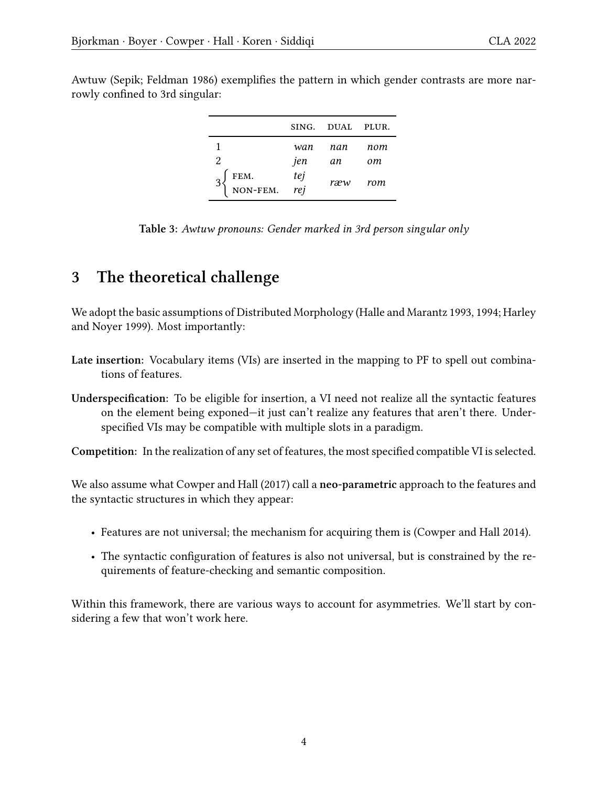3  $\sqrt{ }$ 

| ັ |  |                  |  |
|---|--|------------------|--|
|   |  | SING. DUAL PLUR. |  |
|   |  | wan nan nom      |  |
|   |  | jen an om        |  |

fem. *tej*

non-fem. *rej*

Awtuw (Sepik; [Feldman](#page-14-5) [1986\)](#page-14-5) exemplifies the pattern in which gender contrasts are more narrowly confined to 3rd singular:

**Table 3:** *Awtuw pronouns: Gender marked in 3rd person singular only*

*ræw rom*

# <span id="page-3-0"></span>**3 The theoretical challenge**

We adopt the basic assumptions of Distributed Morphology([Halle and Marantz](#page-14-6) [1993,](#page-14-6) [1994;](#page-14-7) [Harley](#page-14-8) [and Noyer](#page-14-8) [1999](#page-14-8)). Most importantly:

- **Late insertion:** Vocabulary items (VIs) are inserted in the mapping to PF to spell out combinations of features.
- **Underspecification:** To be eligible for insertion, a VI need not realize all the syntactic features on the element being exponed—it just can't realize any features that aren't there. Underspecified VIs may be compatible with multiple slots in a paradigm.

**Competition:** In the realization of any set of features, the most specified compatible VI is selected.

We also assume what [Cowper and Hall](#page-14-9) [\(2017](#page-14-9)) call a **neo-parametric** approach to the features and the syntactic structures in which they appear:

- Features are not universal; the mechanism for acquiring them is [\(Cowper and Hall](#page-14-10) [2014\)](#page-14-10).
- The syntactic configuration of features is also not universal, but is constrained by the requirements of feature-checking and semantic composition.

Within this framework, there are various ways to account for asymmetries. We'll start by considering a few that won't work here.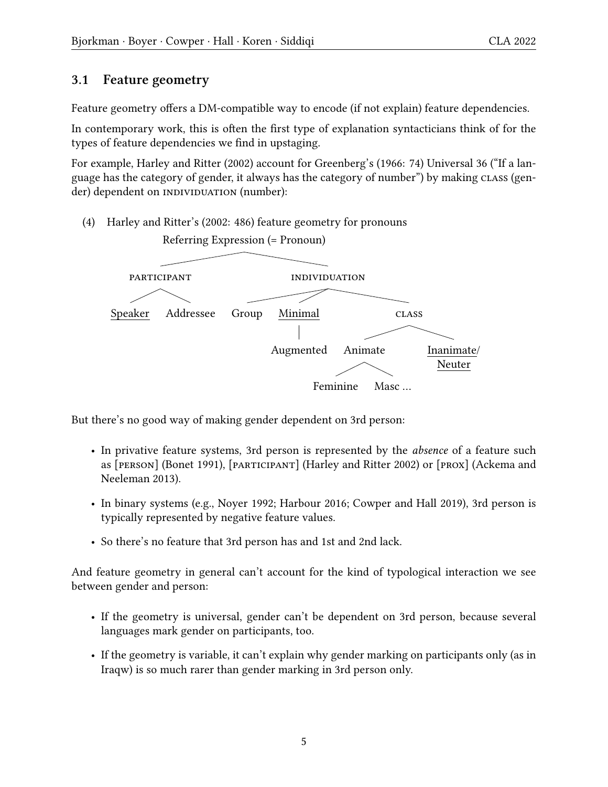#### <span id="page-4-0"></span>**3.1 Feature geometry**

Feature geometry offers a DM-compatible way to encode (if not explain) feature dependencies.

In contemporary work, this is often the first type of explanation syntacticians think of for the types of feature dependencies we find in upstaging.

For example, [Harley and Ritter](#page-14-11) [\(2002\)](#page-14-11) account for [Greenberg'](#page-14-0)s [\(1966](#page-14-0): 74) Universal 36 ("If a language has the category of gender, it always has the category of number") by making class (gender) dependent on INDIVIDUATION (number):

(4) [Harley and Ritter'](#page-14-11)s([2002](#page-14-11): 486) feature geometry for pronouns



But there's no good way of making gender dependent on 3rd person:

- In privative feature systems, 3rd person is represented by the *absence* of a feature such as [person]([Bonet](#page-13-2) [1991\)](#page-13-2), [participant] [\(Harley and Ritter](#page-14-11) [2002](#page-14-11)) or [prox] [\(Ackema and](#page-13-3) [Neeleman](#page-13-3) [2013](#page-13-3)).
- In binary systems (e.g., [Noyer](#page-14-12) [1992](#page-14-12); [Harbour](#page-14-13) [2016](#page-14-13); [Cowper and Hall](#page-14-14) [2019\)](#page-14-14), 3rd person is typically represented by negative feature values.
- So there's no feature that 3rd person has and 1st and 2nd lack.

And feature geometry in general can't account for the kind of typological interaction we see between gender and person:

- If the geometry is universal, gender can't be dependent on 3rd person, because several languages mark gender on participants, too.
- If the geometry is variable, it can't explain why gender marking on participants only (as in Iraqw) is so much rarer than gender marking in 3rd person only.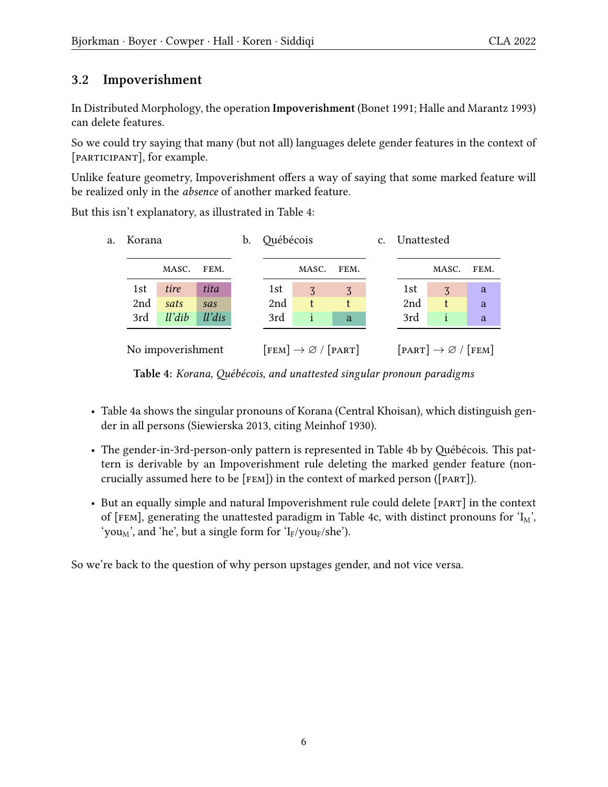#### <span id="page-5-0"></span>**3.2 Impoverishment**

In Distributed Morphology, the operation **Impoverishment** ([Bonet](#page-13-2) [1991](#page-13-2); [Halle and Marantz](#page-14-6) [1993](#page-14-6)) can delete features.

So we could try saying that many (but not all) languages delete gender features in the context of [participant], for example.

Unlike feature geometry, Impoverishment offers a way of saying that some marked feature will be realized only in the *absence* of another marked feature.

<span id="page-5-1"></span>But this isn't explanatory, as illustrated in Table [4](#page-5-1):



**Table 4:** *Korana, Québécois, and unattested singular pronoun paradigms*

- Table [4](#page-5-1)a shows the singular pronouns of Korana (Central Khoisan), which distinguish gender in all persons([Siewierska](#page-14-2) [2013](#page-14-2), citing [Meinhof](#page-14-15) [1930](#page-14-15)).
- The gender-in-3rd-person-only pattern is represented in Table [4b](#page-5-1) by Québécois. This pattern is derivable by an Impoverishment rule deleting the marked gender feature (noncrucially assumed here to be [fem]) in the context of marked person ([part]).
- But an equally simple and natural Impoverishment rule could delete [PART] in the context of [FEM], generating the unattested paradigm in Table [4](#page-5-1)c, with distinct pronouns for  $I_M$ , 'you<sub>M</sub>', and 'he', but a single form for 'I<sub>F</sub>/you<sub>F</sub>/she').

So we're back to the question of why person upstages gender, and not vice versa.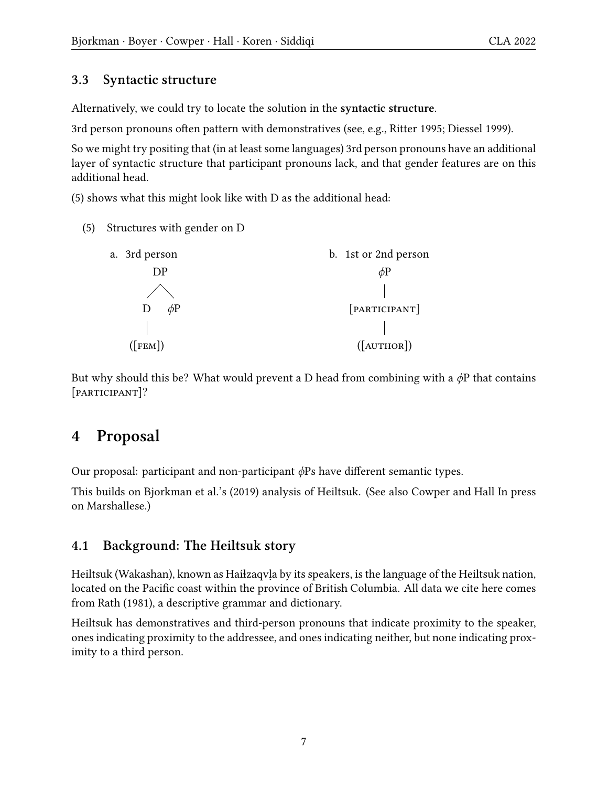#### <span id="page-6-0"></span>**3.3 Syntactic structure**

Alternatively, we could try to locate the solution in the **syntactic structure**.

3rd person pronouns often pattern with demonstratives (see, e.g., [Ritter](#page-14-16) [1995](#page-14-16); [Diessel](#page-14-17) [1999](#page-14-17)).

So we might try positing that (in at least some languages) 3rd person pronouns have an additional layer of syntactic structure that participant pronouns lack, and that gender features are on this additional head.

([5](#page-6-2)) shows what this might look like with D as the additional head:

<span id="page-6-2"></span>(5) Structures with gender on D

| a. 3rd person    | b. 1st or 2nd person |
|------------------|----------------------|
| DP               | $\phi$ P             |
|                  |                      |
| $\phi$ P         | [PARTICIPANT]        |
|                  |                      |
| $(\text{[FEM]})$ | ([AUTHOR])           |

But why should this be? What would prevent a D head from combining with a *ϕ*P that contains [participant]?

### <span id="page-6-1"></span>**4 Proposal**

Our proposal: participant and non-participant *ϕ*Ps have different semantic types.

This builds on [Bjorkman et al.](#page-13-4)'s [\(2019](#page-13-4)) analysis of Heiltsuk. (See also [Cowper and Hall](#page-14-18) [In press](#page-14-18) on Marshallese.)

#### **4.1 Background: The Heiltsuk story**

Heiltsuk (Wakashan), known as Haíɫzaqvḷa by its speakers, is the language of the Heiltsuk nation, located on the Pacific coast within the province of British Columbia. All data we cite here comes from [Rath](#page-14-19) ([1981\)](#page-14-19), a descriptive grammar and dictionary.

Heiltsuk has demonstratives and third-person pronouns that indicate proximity to the speaker, ones indicating proximity to the addressee, and ones indicating neither, but none indicating proximity to a third person.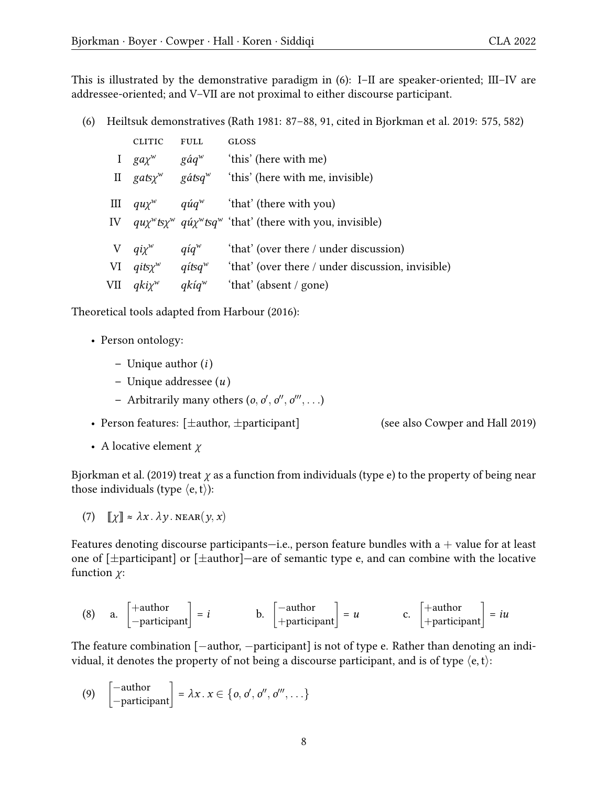This is illustrated by the demonstrative paradigm in [\(6\)](#page-7-0): I–II are speaker-oriented; III–IV are addressee-oriented; and V–VII are not proximal to either discourse participant.

<span id="page-7-0"></span>(6) Heiltsuk demonstratives [\(Rath](#page-14-19) [1981](#page-14-19): 87–88, 91, cited in [Bjorkman et al.](#page-13-4) [2019](#page-13-4): 575, 582)

| <b>CLITIC</b>                       | <b>FULL</b>  | <b>GLOSS</b>                                                                               |
|-------------------------------------|--------------|--------------------------------------------------------------------------------------------|
|                                     |              | I gay <sup>w</sup> gáq <sup>w</sup> 'this' (here with me)                                  |
| II gats $\chi^w$ gátsq <sup>w</sup> |              | 'this' (here with me, invisible)                                                           |
|                                     |              | III $qu\chi^w$ quarallel quarter and the vital you)                                        |
|                                     |              | IV $qu\chi^w$ ts $\chi^w$ qu' $\chi^w$ tsq <sup>w</sup> 'that' (there with you, invisible) |
| V $q i \chi^w$ $q i q^w$            |              | 'that' (over there / under discussion)                                                     |
|                                     |              | VI $q$ its $\chi^w$ aits $q^w$ 'that' (over there / under discussion, invisible)           |
| VII $qki\chi^w$                     | $q$ kí $q^w$ | 'that' (absent / gone)                                                                     |

Theoretical tools adapted from [Harbour](#page-14-13) [\(2016](#page-14-13)):

- Person ontology:
	- **–** Unique author (*i* )
	- **–** Unique addressee (*u* )
	- **–** Arbitrarily many others (*o, o ′ , o ′′ , o ′′′ , . . .*)
- Person features:  $[\pm \text{author}, \pm \text{participant}]$  (see also [Cowper and Hall](#page-14-14) [2019](#page-14-14))
- A locative element *χ*

[Bjorkman et al.](#page-13-4) ([2019](#page-13-4)) treat *χ* as a function from individuals (type e) to the property of being near those individuals (type  $\langle e, t \rangle$ ):

(7)  $\llbracket \chi \rrbracket \approx \lambda x \cdot \lambda y \cdot \text{NEAR}(y, x)$ 

Features denoting discourse participants—i.e., person feature bundles with a  $+$  value for at least one of [*±*participant] or [*±*author]—are of semantic type e, and can combine with the locative function *χ*:

(8) a. 
$$
\begin{bmatrix} + \text{author} \\ - \text{participant} \end{bmatrix} = i
$$
 b.  $\begin{bmatrix} - \text{author} \\ + \text{participant} \end{bmatrix} = u$  c.  $\begin{bmatrix} + \text{author} \\ + \text{participant} \end{bmatrix} = iu$ 

The feature combination [*−*author, *−*participant] is not of type e. Rather than denoting an individual, it denotes the property of not being a discourse participant, and is of type *⟨*e, t*⟩*:

(9) 
$$
\begin{bmatrix} -\text{author} \\ -\text{participant} \end{bmatrix} = \lambda x. x \in \{0, 0', 0'', 0''', \ldots\}
$$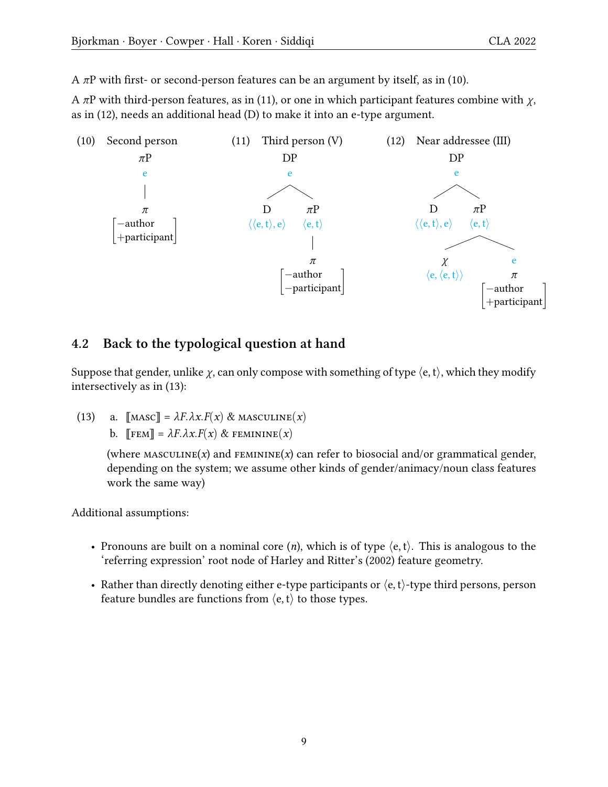A $\pi$ P with first- or second-person features can be an argument by itself, as in ([10\)](#page-8-0).

<span id="page-8-2"></span><span id="page-8-1"></span>A *π*P with third-person features, as in([11\)](#page-8-1), or one in which participant features combine with *χ*, as in [\(12\)](#page-8-2), needs an additional head (D) to make it into an e-type argument.

<span id="page-8-0"></span>

#### **4.2 Back to the typological question at hand**

Suppose that gender, unlike *χ*, can only compose with something of type *⟨*e, t*⟩*, which they modify intersectively as in [\(13\)](#page-8-3):

<span id="page-8-3"></span>(13) a.  $\left[\text{MASC}\right] = \lambda F \cdot \lambda x \cdot F(x) \& \text{MASCULINE}(x)$ b. ⟦fem⟧ = *λF.λx.F*(*x*) & feminine(*x*)

> (where MASCULINE $(x)$  and FEMININE $(x)$  can refer to biosocial and/or grammatical gender, depending on the system; we assume other kinds of gender/animacy/noun class features work the same way)

Additional assumptions:

- Pronouns are built on a nominal core (*n*), which is of type *⟨*e, t*⟩*. This is analogous to the 'referring expression' root node of [Harley and Ritter](#page-14-11)'s([2002](#page-14-11)) feature geometry.
- Rather than directly denoting either e-type participants or *⟨*e, t*⟩*-type third persons, person feature bundles are functions from *⟨*e, t*⟩* to those types.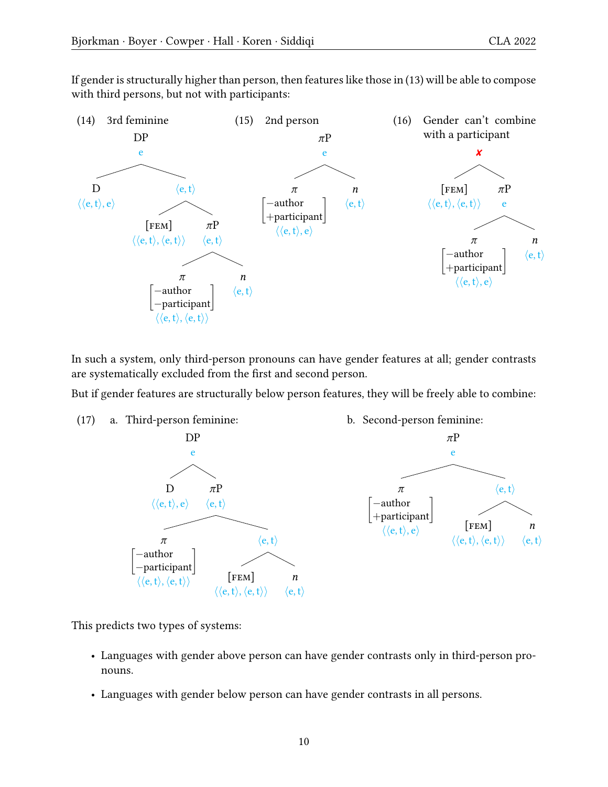If gender is structurally higher than person, then features like those in [\(13](#page-8-3)) will be able to compose with third persons, but not with participants:



In such a system, only third-person pronouns can have gender features at all; gender contrasts are systematically excluded from the first and second person.

But if gender features are structurally below person features, they will be freely able to combine:



This predicts two types of systems:

- Languages with gender above person can have gender contrasts only in third-person pronouns.
- Languages with gender below person can have gender contrasts in all persons.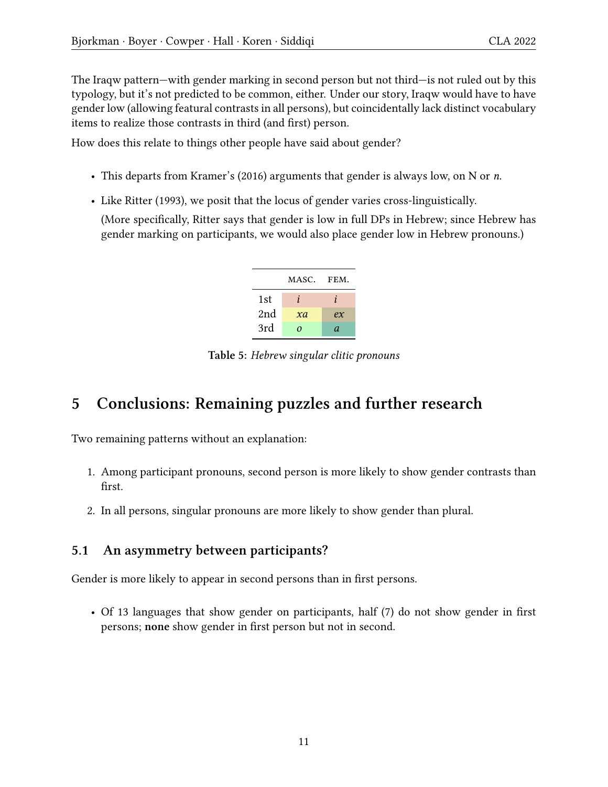The Iraqw pattern—with gender marking in second person but not third—is not ruled out by this typology, but it's not predicted to be common, either. Under our story, Iraqw would have to have gender low (allowing featural contrasts in all persons), but coincidentally lack distinct vocabulary items to realize those contrasts in third (and first) person.

How does this relate to things other people have said about gender?

- This departs from [Kramer'](#page-14-20)s([2016](#page-14-20)) arguments that gender is always low, on N or *n*.
- Like [Ritter](#page-14-21) [\(1993](#page-14-21)), we posit that the locus of gender varies cross-linguistically.

(More specifically, [Ritter](#page-14-21) says that gender is low in full DPs in Hebrew; since Hebrew has gender marking on participants, we would also place gender low in Hebrew pronouns.)



**Table 5:** *Hebrew singular clitic pronouns*

# <span id="page-10-0"></span>**5 Conclusions: Remaining puzzles and further research**

Two remaining patterns without an explanation:

- 1. Among participant pronouns, second person is more likely to show gender contrasts than first.
- 2. In all persons, singular pronouns are more likely to show gender than plural.

#### **5.1 An asymmetry between participants?**

Gender is more likely to appear in second persons than in first persons.

• Of 13 languages that show gender on participants, half (7) do not show gender in first persons; **none** show gender in first person but not in second.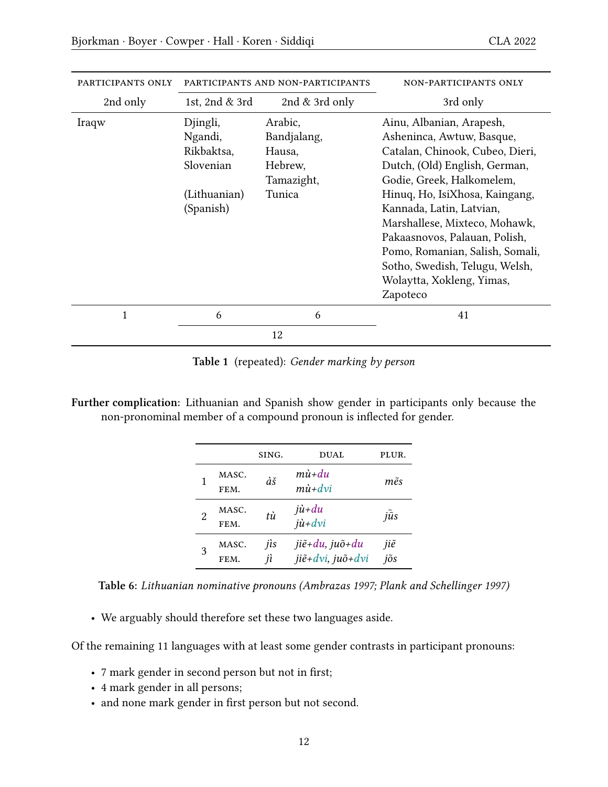| PARTICIPANTS ONLY | PARTICIPANTS AND NON-PARTICIPANTS                                           |                                                                     | NON-PARTICIPANTS ONLY                                                                                                                                                                                                                                                                                                                                                                                |
|-------------------|-----------------------------------------------------------------------------|---------------------------------------------------------------------|------------------------------------------------------------------------------------------------------------------------------------------------------------------------------------------------------------------------------------------------------------------------------------------------------------------------------------------------------------------------------------------------------|
| 2nd only          | 1st, 2nd & 3rd                                                              | 2nd $&$ 3rd only                                                    | 3rd only                                                                                                                                                                                                                                                                                                                                                                                             |
| Iraqw             | Djingli,<br>Ngandi,<br>Rikbaktsa,<br>Slovenian<br>(Lithuanian)<br>(Spanish) | Arabic,<br>Bandjalang,<br>Hausa,<br>Hebrew,<br>Tamazight,<br>Tunica | Ainu, Albanian, Arapesh,<br>Asheninca, Awtuw, Basque,<br>Catalan, Chinook, Cubeo, Dieri,<br>Dutch, (Old) English, German,<br>Godie, Greek, Halkomelem,<br>Hinuq, Ho, IsiXhosa, Kaingang,<br>Kannada, Latin, Latvian,<br>Marshallese, Mixteco, Mohawk,<br>Pakaasnovos, Palauan, Polish,<br>Pomo, Romanian, Salish, Somali,<br>Sotho, Swedish, Telugu, Welsh,<br>Wolaytta, Xokleng, Yimas,<br>Zapoteco |
| $\mathbf{1}$      | 6                                                                           | 6                                                                   | 41                                                                                                                                                                                                                                                                                                                                                                                                   |
|                   |                                                                             | 12                                                                  |                                                                                                                                                                                                                                                                                                                                                                                                      |

**Table [1](#page-2-0)** (repeated): *Gender marking by person*

**Further complication:** Lithuanian and Spanish show gender in participants only because the non-pronominal member of a compound pronoun is inflected for gender.

|   |               | SING.     | <b>DUAL</b>                                               | PLUR.               |
|---|---------------|-----------|-----------------------------------------------------------|---------------------|
|   | MASC.<br>FEM. | àš        | $m\dot{u}$ + $du$<br>$m\dot{u}$ + $dv$ i                  | $m\tilde{e}s$       |
| 2 | MASC.<br>FEM. | tù        | $j\dot{u}$ +du<br>$j\mathbf{\hat{u}}+d\mathbf{\hat{v}}$   | $j\tilde{\bar{u}}s$ |
| 3 | MASC.<br>FEM. | jis<br>jì | $ji\tilde{e}$ +du, ju $\tilde{o}$ +du<br>jiẽ+dvi, juõ+dvi | jiẽ<br>jõs          |

**Table 6:** *Lithuanian nominative pronouns([Ambrazas](#page-13-5) [1997;](#page-13-5) [Plank and Schellinger](#page-14-1) [1997\)](#page-14-1)*

• We arguably should therefore set these two languages aside.

Of the remaining 11 languages with at least some gender contrasts in participant pronouns:

- 7 mark gender in second person but not in first;
- 4 mark gender in all persons;
- and none mark gender in first person but not second.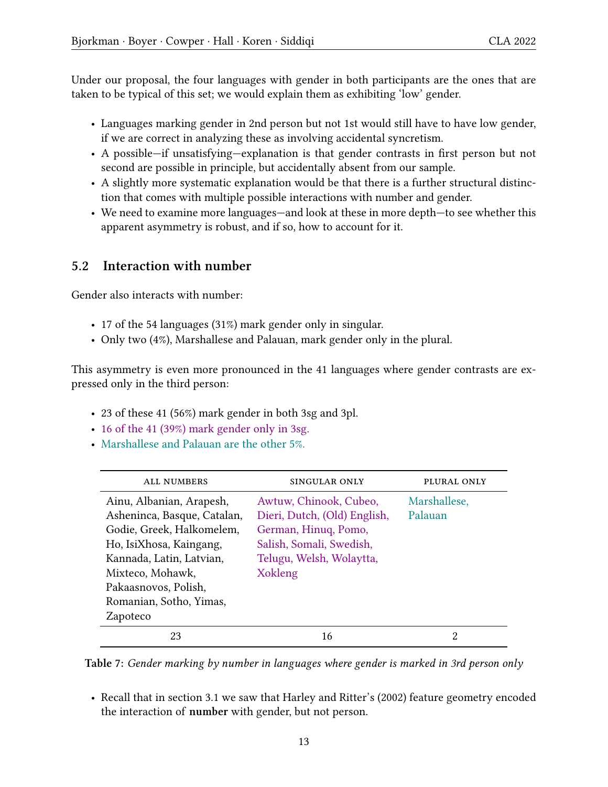Under our proposal, the four languages with gender in both participants are the ones that are taken to be typical of this set; we would explain them as exhibiting 'low' gender.

- Languages marking gender in 2nd person but not 1st would still have to have low gender, if we are correct in analyzing these as involving accidental syncretism.
- A possible—if unsatisfying—explanation is that gender contrasts in first person but not second are possible in principle, but accidentally absent from our sample.
- A slightly more systematic explanation would be that there is a further structural distinction that comes with multiple possible interactions with number and gender.
- We need to examine more languages—and look at these in more depth—to see whether this apparent asymmetry is robust, and if so, how to account for it.

#### **5.2 Interaction with number**

Gender also interacts with number:

- 17 of the 54 languages (31%) mark gender only in singular.
- Only two (4%), Marshallese and Palauan, mark gender only in the plural.

This asymmetry is even more pronounced in the 41 languages where gender contrasts are expressed only in the third person:

- 23 of these 41 (56%) mark gender in both 3sg and 3pl.
- 16 of the 41 (39%) mark gender only in 3sg.
- Marshallese and Palauan are the other 5%.

| <b>ALL NUMBERS</b>          | <b>SINGULAR ONLY</b>         | PLURAL ONLY  |
|-----------------------------|------------------------------|--------------|
| Ainu, Albanian, Arapesh,    | Awtuw, Chinook, Cubeo,       | Marshallese, |
| Asheninca, Basque, Catalan, | Dieri, Dutch, (Old) English, | Palauan      |
| Godie, Greek, Halkomelem,   | German, Hinuq, Pomo,         |              |
| Ho, IsiXhosa, Kaingang,     | Salish, Somali, Swedish,     |              |
| Kannada, Latin, Latvian,    | Telugu, Welsh, Wolaytta,     |              |
| Mixteco, Mohawk,            | Xokleng                      |              |
| Pakaasnovos, Polish,        |                              |              |
| Romanian, Sotho, Yimas,     |                              |              |
| Zapoteco                    |                              |              |
| 23                          | 16                           | 2            |

**Table 7:** *Gender marking by number in languages where gender is marked in 3rd person only*

• Recall that in section [3.1](#page-4-0) we saw that [Harley and Ritter](#page-14-11)'s([2002](#page-14-11)) feature geometry encoded the interaction of **number** with gender, but not person.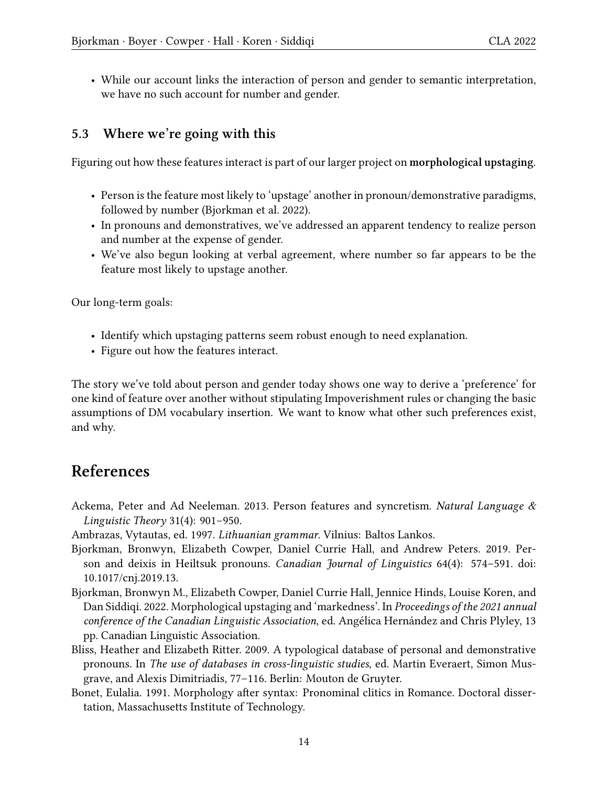• While our account links the interaction of person and gender to semantic interpretation, we have no such account for number and gender.

#### **5.3 Where we're going with this**

Figuring out how these features interact is part of our larger project on **morphological upstaging**.

- Person is the feature most likely to 'upstage' another in pronoun/demonstrative paradigms, followed by number([Bjorkman et al.](#page-13-0) [2022\)](#page-13-0).
- In pronouns and demonstratives, we've addressed an apparent tendency to realize person and number at the expense of gender.
- We've also begun looking at verbal agreement, where number so far appears to be the feature most likely to upstage another.

Our long-term goals:

- Identify which upstaging patterns seem robust enough to need explanation.
- Figure out how the features interact.

The story we've told about person and gender today shows one way to derive a 'preference' for one kind of feature over another without stipulating Impoverishment rules or changing the basic assumptions of DM vocabulary insertion. We want to know what other such preferences exist, and why.

### **References**

- <span id="page-13-3"></span>Ackema, Peter and Ad Neeleman. 2013. Person features and syncretism. *Natural Language & Linguistic Theory* 31(4): 901–950.
- <span id="page-13-5"></span>Ambrazas, Vytautas, ed. 1997. *Lithuanian grammar*. Vilnius: Baltos Lankos.
- <span id="page-13-4"></span>Bjorkman, Bronwyn, Elizabeth Cowper, Daniel Currie Hall, and Andrew Peters. 2019. Person and deixis in Heiltsuk pronouns. *Canadian Journal of Linguistics* 64(4): 574–591. doi: [10.1017/cnj.2019.13](https://dx.doi.org/10.1017/cnj.2019.13).
- <span id="page-13-0"></span>Bjorkman, Bronwyn M., Elizabeth Cowper, Daniel Currie Hall, Jennice Hinds, Louise Koren, and Dan Siddiqi. 2022. Morphological upstaging and 'markedness'. In *Proceedings of the 2021 annual conference of the Canadian Linguistic Association*, ed. Angélica Hernández and Chris Plyley, 13 pp. Canadian Linguistic Association.
- <span id="page-13-1"></span>Bliss, Heather and Elizabeth Ritter. 2009. A typological database of personal and demonstrative pronouns. In *The use of databases in cross-linguistic studies*, ed. Martin Everaert, Simon Musgrave, and Alexis Dimitriadis, 77–116. Berlin: Mouton de Gruyter.
- <span id="page-13-2"></span>Bonet, Eulalia. 1991. Morphology after syntax: Pronominal clitics in Romance. Doctoral dissertation, Massachusetts Institute of Technology.